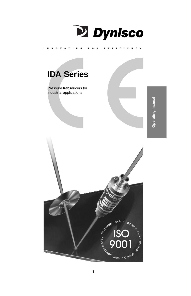

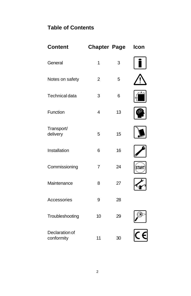# **Table of Contents**

| <b>Content</b>               | <b>Chapter Page</b> |    | Icon        |
|------------------------------|---------------------|----|-------------|
| General                      | 1                   | 3  |             |
| Notes on safety              | $\overline{2}$      | 5  |             |
| Technical data               | 3                   | 6  | မှု         |
| Function                     | 4                   | 13 |             |
| Transport/<br>delivery       | 5                   | 15 |             |
| Installation                 | 6                   | 16 |             |
| Commissioning                | $\overline{7}$      | 24 | <b>STAR</b> |
| Maintenance                  | 8                   | 27 |             |
| Accessories                  | 9                   | 28 |             |
| Troubleshooting              | 10                  | 29 |             |
| Declaration of<br>conformity | 11                  | 30 |             |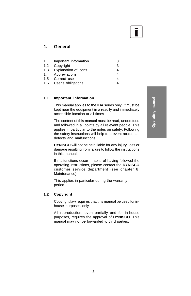

# **1. General**

| 1.1 Important information | 3 |
|---------------------------|---|
| 1.2 Copyright             | 3 |
| 1.3 Explanation of icons  |   |
| 1.4 Abbreviations         |   |
| 1.5 Correct use           |   |
| 1.6 User's obligations    |   |

#### **1.1 Important information**

This manual applies to the IDA series only. It must be kept near the equipment in a readily and immediately accessible location at all times.

The content of this manual must be read, understood and followed in all points by all relevant people. This applies in particular to the notes on safety. Following the safety instructions will help to prevent accidents, defects and malfunctions.

**DYNISCO** will not be held liable for any injury, loss or damage resulting from failure to follow the instructions in this manual.

If malfunctions occur in spite of having followed the operating instructions, please contact the **DYNISCO** customer service department (see chapter 8, Maintenance).

This applies in particular during the warranty period.

#### **1.2 Copyright**

Copyright law requires that this manual be used for inhouse purposes only.

All reproduction, even partially and for in-house purposes, requires the approval of **DYNISCO**. This manual may not be forwarded to third parties.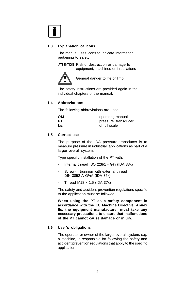

#### **1.3 Explanation of icons**

The manual uses icons to indicate information pertaining to safety:

**ATTENTION** Risk of destruction or damage to equipment, machines or installations



General danger to life or limb

The safety instructions are provided again in the individual chapters of the manual.

#### **1.4 Abbreviations**

The following abbreviations are used:

| ΟМ   | operating manual    |
|------|---------------------|
| PТ   | pressure transducer |
| f.s. | of full scale       |

#### **1.5 Correct use**

The purpose of the IDA pressure transducer is to measure pressure in industrial applications as part of a larger overall system.

Type specific installation of the PT with:

- Internal thread ISO 228/1 G1/4 (IDA 33x)
- Screw-in trunnion with external thread DIN 3852-A G¼A (IDA 35x)
- Thread M18 x 1.5 (IDA 37x)

The safety and accident prevention regulations specific to the application must be followed.

**When using the PT as a safety component in accordance with the EC Machine Directive, Annex IIc, the equipment manufacturer must take any necessary precautions to ensure that malfunctions of the PT cannot cause damage or injury.**

#### **1.6 User's obligations**

The operator or owner of the larger overall system, e.g. a machine, is responsible for following the safety and accident prevention regulations that apply to the specific application.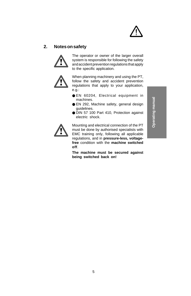

# **2. Notes on safety**



The operator or owner of the larger overall system is responsible for following the safety and accident prevention regulations that apply to the specific application.



When planning machinery and using the PT, follow the safety and accident prevention regulations that apply to your application, e.g.:

- EN 60204, Electrical equipment in machines.
- EN 292, Machine safety, general design guidelines.
- DIN 57 100 Part 410, Protection against electric shock.



Mounting and electrical connection of the PT must be done by authorised specialists with EMC training only, following all applicable regulations, and in **pressure-less, voltagefree** condition with the **machine switched off**.

**The machine must be secured against being switched back on!**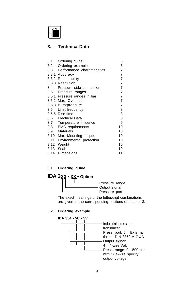

# **3. Technical Data**

| 3.1  | Ordering guide               | 6              |
|------|------------------------------|----------------|
| 3.2  | Ordering example             | 6              |
| 3.3  | Performance characteristics  | 7              |
|      | 3.3.1 Accuracy               | $\overline{7}$ |
|      | 3.3.2 Repeatability          | $\overline{7}$ |
|      | 3.3.3 Resolution             | $\overline{7}$ |
|      | 3.4 Pressure side connection | $\overline{7}$ |
|      | 3.5 Pressure ranges          | $\overline{7}$ |
|      | 3.5.1 Pressure ranges in bar | $\overline{7}$ |
|      | 3.5.2 Max. Overload          | 7              |
|      | 3.5.3 Burstpressure          | 7              |
|      | 3.5.4 Limit frequency        | 8              |
|      | 3.5.5 Rise time              | 8              |
|      | 3.6 Electrical Data          | 8              |
|      | 3.7 Temperature influence    | 9              |
| 3.8  | <b>EMC</b> requirements      | 10             |
| 3.9  | <b>Materials</b>             | 10             |
| 3.10 | Max. Mounting torque         | 10             |
| 3.11 | Environmental protection     | 10             |
| 3.12 | Weight                       | 10             |
| 3.13 | Seal                         | 10             |
| 3.14 | <b>Dimensions</b>            | 11             |

## **3.1 Ordering guide**



The exact meanings of the letter/digit combinations are given in the corresponding sections of chapter 3.

# **3.2 Ordering example**

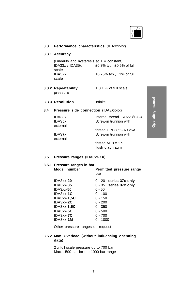

### **3.3 Performance characteristics** (IDA3xx-xx)

#### **3.3.1 Accuracy**

(Linearity and hysteresis at  $T = constant$ )  $IDA33x / IDA35x +0.3\%$  typ.,  $\pm 0.5\%$  of full scale IDA37x  $\pm 0.75\%$  typ.,  $\pm 1\%$  of full scale

**3.3.2 Repeatability** ± 0.1 % of full scale pressure

#### **3.3.3 Resolution** infinite

#### **3.4 Pressure side connection** (IDA3**X**x-xx)

| IDA33x   | Internal thread ISO228/1-G1/4 |
|----------|-------------------------------|
| IDA35x   | Screw-in trunnion with        |
| external |                               |
|          | thread DIN 3852-A $G\%$ A     |
| IDA37x   | Screw-in trunnion with        |
| external |                               |
|          | thread M18 $\times$ 1.5       |

flush diaphragm

#### **3.5 Pressure ranges** (IDA3xx-**XX**)

# **3.5.1 Pressure ranges in bar Model number Permitted pressure range bar** IDA3xx-**20** 0 - 20 **series 37x only** IDA3xx-**35** 0 - 35 **series 37x only** IDA3xx-**50** 0 - 50 IDA3xx-**1C** 0 - 100<br>IDA3xx-**1.5C** 0 - 150 **IDA3xx-1,5C** IDA3xx-**2C** 0 - 200<br>IDA3xx-**3.5C** 0 - 350

IDA3xx-**3,5C** 0 - 350 IDA3xx-**5C** 0 - 500<br>IDA3xx-7**C** 0 - 700 **IDA3xx-7C** IDA3xx-**1M** 0 - 1000

Other pressure ranges on request

#### **3.5.2 Max. Overload (without influencing operating data)**

2 x full scale pressure up to 700 bar Max. 1500 bar for the 1000 bar range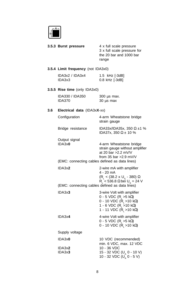

| 3.5.3 Burst pressure | 4 x full scale pressure     |
|----------------------|-----------------------------|
|                      | 3 x full scale pressure for |
|                      | the 20 bar and 1000 bar     |
|                      | range                       |

### **3.5.4 Limit frequency** (not IDA3x0)

| IDA3x2 / IDA3x4 | 1.5 kHz [-3dB]     |
|-----------------|--------------------|
| IDA3x3          | $0.8$ kHz $[-3dB]$ |

# **3.5.5 Rise time** (only IDA3x0)

| IDA330 / IDA350 | $300 \mu s$ max. |
|-----------------|------------------|
| IDA370          | 30 µs max        |

# **3.6 Electrical data** (IDA3x**X**-xx)

| Configuration                                                             | 4-arm Wheatstone bridge<br>strain gauge                                                                                                                                |
|---------------------------------------------------------------------------|------------------------------------------------------------------------------------------------------------------------------------------------------------------------|
| Bridge resistance                                                         | IDA33x/IDA35x, 350 $\Omega$ ±1 %<br>IDA37x, 350 Ω ± 10 %                                                                                                               |
| Output signal<br>IDA3x0<br>(EMC: connecting cables defined as data lines) | 4-arm Wheatstone bridge<br>strain gauge without amplifier<br>at 20 bar > 2.2 m V/V<br>from 35 bar $>2.9$ mV/V                                                          |
| IDA3x2                                                                    | 2-wire mA with amplifier<br>4 - 20 mA<br>$(R1 < (38.2 \times Us - 380) \Omega$<br>$R_1$ < 536.8 Ω bei U <sub>s</sub> = 24 V                                            |
| (EMC: connecting cables defined as data lines)                            |                                                                                                                                                                        |
| IDA3x3                                                                    | 3-wire Volt with amplifier<br>0 - 5 VDC (R <sub>1</sub> > 5 kΩ)<br>0 - 10 VDC (R̄ <sub>∟</sub> >10 kΩ)<br>1 - 6 VDC (R <sub>L</sub> > 10 kΩ)<br>1 - 11 VDC (R, >10 kΩ) |
| IDA3x4                                                                    | 4-wire Volt with amplifier<br>0 - 5 VDC (R <sub>L</sub> > 5 kΩ)<br>0 - 10 VDC ( $\bar{R}_1$ > 10 kΩ)                                                                   |
| Supply voltage                                                            |                                                                                                                                                                        |
| IDA3x0                                                                    | 10 VDC (recommended)<br>min. 6 VDC, max. 12 VDC                                                                                                                        |
| IDA3x2<br>IDA3x3                                                          | 10 - 36 VDC<br>15 - 32 VDC (U <sub>A</sub> 0 - 10 V)<br>10 - 32 VDC (U) 0 - 5 V)                                                                                       |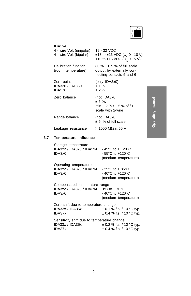$\begin{picture}(120,10) \put(0,0){\line(1,0){15}} \put(15,0){\line(1,0){15}} \put(15,0){\line(1,0){15}} \put(15,0){\line(1,0){15}} \put(15,0){\line(1,0){15}} \put(15,0){\line(1,0){15}} \put(15,0){\line(1,0){15}} \put(15,0){\line(1,0){15}} \put(15,0){\line(1,0){15}} \put(15,0){\line(1,0){15}} \put(15,0){\line(1,0){15}} \put(15,0){\line($ 

| IDA3x4<br>4 - wire Volt (unipolar)<br>4 - wire Volt (bipolar) | 19 - 32 VDC<br>$\pm$ 13 to $\pm$ 16 VDC (U, 0 - 10 V)<br>$\pm$ 10 to $\pm$ 16 VDC (U <sub>4</sub> 0 - 5 V) |  |
|---------------------------------------------------------------|------------------------------------------------------------------------------------------------------------|--|
| Calibration function<br>(room temperature)                    | 80 % $\pm$ 0.5 % of full scale<br>output by externally con-<br>necting contacts 5 and 6                    |  |
| Zero point<br>IDA330 / IDA350<br><b>IDA370</b>                | (only IDA3x0)<br>$+1\%$<br>± 2%                                                                            |  |
| Zero balance                                                  | (not IDA3x0)<br>$± 5 \%$ .<br>min. $-2\%$ / $+5\%$ of full<br>scale with 2-wire                            |  |
| Range balance                                                 | (not IDA3x0)<br>$± 5$ % of full scale                                                                      |  |
| Leakage resistance                                            | $> 1000$ MΩ at 50 V                                                                                        |  |
| Tamnaratura influanca                                         |                                                                                                            |  |

# **3.7 Temperature influence**

| Storage temperature<br>IDA3x2 / IDA3x3 / IDA3x4<br>IDA3x0           | $-45^{\circ}$ C to $+120^{\circ}$ C<br>$-55^{\circ}$ C to $+120^{\circ}$ C<br>(medium temperature) |
|---------------------------------------------------------------------|----------------------------------------------------------------------------------------------------|
| Operating temperature<br>IDA3x2 / IDA3x3 / IDA3x4                   | $-25^{\circ}$ C to $+85^{\circ}$ C                                                                 |
| IDA3x0                                                              | - 40°C to +120°C                                                                                   |
|                                                                     | (medium temperature)                                                                               |
| Compensated temperature range<br>IDA3x2 / IDA3x3 / IDA3x4<br>IDA3x0 | $0^{\circ}$ C to + 70 $^{\circ}$ C<br>$-40^{\circ}$ C to $+120^{\circ}$ C<br>(medium temperature)  |
| Zero shift due to temperature change                                |                                                                                                    |
| IDA33x / IDA35x                                                     | $\pm$ 0.1 % f.s. / 10 °C typ.                                                                      |
| IDA37x                                                              | $\pm$ 0.4 % f.s. / 10 °C typ.                                                                      |
| Sensitivity shift due to temperature change                         |                                                                                                    |
| IDA33x / IDA35x                                                     | $\pm$ 0.2 % f.s. / 10 °C typ.                                                                      |
| IDA37x                                                              | ± 0.4 % f.s. / 10 °C tvp.                                                                          |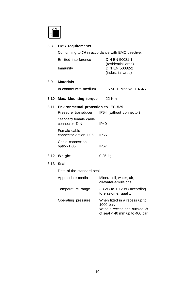

#### **3.8 EMC requirements**

Conforming to  $\zeta \xi$  in accordance with EMC directive.

| Emitted interference | DIN EN 50081-1     |  |
|----------------------|--------------------|--|
|                      | (residential area) |  |
| Immunity             | DIN EN 50082-2     |  |
|                      | (industrial area)  |  |

### **3.9 Materials**

In contact with medium 15-5PH Mat.No. 1.4545

**3.10 Max. Mounting torque** 22 Nm

#### **3.11 Environmental protection to IEC 529**

Pressure transducer IP54 (without connector)

Standard female cable connector DIN IP40 Female cable connector option D06 IP65

Cable connection option D05 IP67

**3.12 Weight** 0.25 kg

#### **3.13 Seal**

Data of the standard seal:

| Appropriate media  | Mineral oil, water, air,<br>oil-water-emulsions                                                                           |
|--------------------|---------------------------------------------------------------------------------------------------------------------------|
| Temperature range  | - 35 $\degree$ C to + 120 $\degree$ C according<br>to elastomer quality                                                   |
| Operating pressure | When fitted in a recess up to<br>1000 bar.<br>Without recess and outside $\varnothing$<br>of seal $<$ 40 mm up to 400 bar |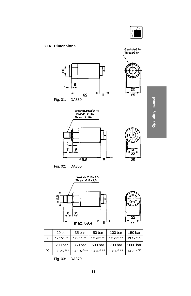

#### **3.14 Dimensions**





**Operating manual Operating manual**





Fig. 02: IDA350



|   | 20 bar               | 35 bar             | 50 bar              | 100 bar             | 150 bar             |
|---|----------------------|--------------------|---------------------|---------------------|---------------------|
| X | $12.55^{\pm0.305}$   | $12.61^{\pm0.305}$ | $12.78^{\pm 0.305}$ | $12.95^{\pm 0.313}$ | $13.12 \pm 0.313$   |
|   | 200 bar              | 350 bar            | 500 bar             | 700 bar             | 1000 bar            |
| X | $13.225^{\pm 0.313}$ | 13.515±0.313       | $13.75^{\pm 0.313}$ | 13.95±0.313         | $14.29^{\pm 0.313}$ |

Fig. 03: IDA370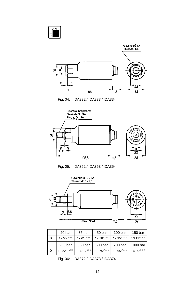











|   | 20 bar              | 35 bar            | 50 bar      | 100 bar             | 150 bar             |
|---|---------------------|-------------------|-------------|---------------------|---------------------|
| X | $12.55^{\pm 0.305}$ | $12.61 \pm 0.305$ | 12.78±0.305 | $12.95^{\pm 0.313}$ | $13.12 \pm 0.313$   |
|   | 200 bar             | 350 bar           | 500 bar     | 700 bar             | 1000 bar            |
| X | 13.225±0.313        | 13.515±0.313      | 13.75±0.313 | $13.95^{\pm 0.313}$ | $14.29^{\pm 0.313}$ |

Fig. 06: IDA372 / IDA373 / IDA374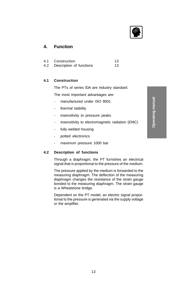

# **4. Function**

| 4.1 | Construction                 | 13 |
|-----|------------------------------|----|
|     | 4.2 Description of functions | 13 |

#### **4.1 Construction**

The PTs of series IDA are industry standard.

The most important advantages are:

- manufactured under ISO 9001
- thermal stability
- insensitivity to pressure peaks
- insensitivity to electromagnetic radiation (EMC)
- fully welded housing
- potted electronics
- maximum pressure 1000 bar

### **4.2 Description of functions**

Through a diaphragm, the PT furnishes an electrical signal that is proportional to the pressure of the medium.

The pressure applied by the medium is forwarded to the measuring diaphragm. The deflection of the measuring diaphragm changes the resistance of the strain gauge bonded to the measuring diaphragm. The strain gauge is a Wheatstone bridge.

Dependent on the PT model, an electric signal proportional to the pressure is generated via the supply voltage or the amplifier.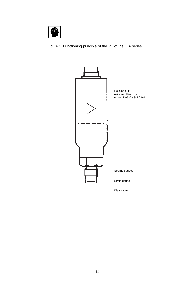

Fig. 07: Functioning principle of the PT of the IDA series

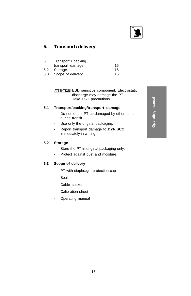

# **5. Transport / delivery**

| Transport / packing / |    |
|-----------------------|----|
| transport damage      | 15 |
| 5.2 Storage           | 15 |
| 5.3 Scope of delivery | 15 |
|                       |    |

**ATTENTION** ESD sensitive component. Electrostatic discharge may damage the PT. Take ESD precautions.

#### **5.1 Transport/packing/transport damage**

- Do not let the PT be damaged by other items during transit.
- Use only the original packaging.
- Report transport damage to **DYNISCO** immediately in writing.

#### **5.2 Storage**

- Store the PT in original packaging only.
- Protect against dust and moisture.

#### **5.3 Scope of delivery**

- PT with diaphragm protection cap
- Seal
- Cable socket
- Calibration sheet
- Operating manual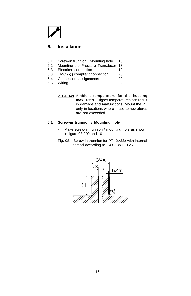# **6. Installation**

- 6.1 Screw-in trunnion / Mounting hole 16
- 6.2 Mounting the Pressure Transducer 18
- 6.3 Electrical connection 19
- 6.3.1 EMC / CE compliant connection 20<br>6.4 Connection assignments 20
- 6.4 Connection assignments
- 6.5 Wiring 22

**ATTENTION** Ambient temperature for the housing **max. +85°C**. Higher temperatures can result in damage and malfunctions. Mount the PT only in locations where these temperatures are not exceeded.

### **6.1 Screw-in trunnion / Mounting hole**

- Make screw-in trunnion / mounting hole as shown in figure 08 / 09 and 10.
- Fig. 08: Screw-in trunnion for PT IDA33x with internal thread according to ISO 228/1 - G¼

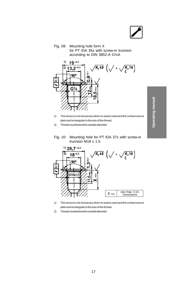Fig. 09: Mounting hole form X for PT IDA 35x with screw-in trunnion according to DIN 3852-A G¼A



- 1) The recess is not nessecary when no seal is used and the contact area is plain and rectangular to the axis of the thread.
- 2) Thread counterbored to outside diameter.
- Fig. 10: Mounting hole for PT IDA 37x with screw-in trunnion M18 x 1.5



- 1) The recess is not nessecary when no seal is used and the contact area is plain and rectangular to the axis of the thread.
- 2) Thread counterbored to outside diameter.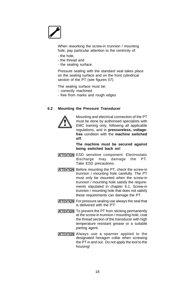When reworking the screw-in trunnion / mounting hole, pay particular attention to the centricity of:

- the hole,
- the thread and
- the sealing surface.

Pressure sealing with the standard seal takes place on the sealing surface and on the front cylindrical section of the PT (see figures 07).

The sealing surface must be:

- correctly machined
- free from marks and rough edges

#### **6.2 Mounting the Pressure Transducer**



Mounting and electrical connection of the PT must be done by authorised specialists with EMC training only, following all applicable regulations, and in **pressureless, voltagefree** condition with the **machine switched off**.

**The machine must be secured against being switched back on!**

- **ATTENTION** ESD sensitive component. Electrostatic discharge may damage the PT. Take ESD precautions.
- **ATTENTION** Before mounting the PT, check the screw-in trunnion / mounting hole carefully. The PT must only be mounted when the screw-in trunnion / mounting hole satisfy the requirements stipulated in chapter 6.1. Screw-in trunnion / mounting hole that does not satisfy these requirements can damage the PT.
- **ATTENTION** For pressure sealing use always the seal that is delivered with the PT!
- **ATTENTION** To prevent the PT from sticking permanently at the screw-in trunnion / mounting hole, coat the thread section of the transducer with high temperature resistant grease or a suitable parting agent.
- **ATTENTION** Always use a spanner applied to the designated hexagon collar when screwing the PT in and out. Do not apply the tool to the housing!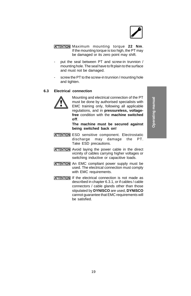

- **ATTENTION** Maximum mounting torque 22 Nm. If the mounting torque is too high, the PT may be damaged or its zero point may shift.
- put the seal between PT and screw-in trunnion / mounting hole. The seal have to fit plain to the surface and must not be damaged.
- screw the PT to the screw-in trunnion / mounting hole and tighten.

#### **6.3 Electrical connection**



Mounting and electrical connection of the PT must be done by authorised specialists with EMC training only, following all applicable regulations, and in **pressureless, voltagefree** condition with the **machine switched off**.

**The machine must be secured against being switched back on!**

- **ATTENTION** ESD sensitive component. Electrostatic discharge may damage the PT. Take ESD precautions.
- **ATTENTION** Avoid laying the power cable in the direct vicinity of cables carrying higher voltages or switching inductive or capacitive loads.
- **ATTENTION** An EMC compliant power supply must be used. The electrical connection must comply with EMC requirements.
- **ATTENTION** If the electrical connection is not made as described in chapter 6.3.1, or if cables / cable connectors / cable glands other than those stipulated by **DYNISCO** are used, **DYNISCO** cannot guarantee that EMC requirements will be satisfied.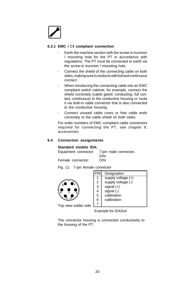#### **6.3.1 EMC / compliant connection**

- Earth the machine section with the screw-in trunnion / mounting hole for the PT in accordance with regulations. The PT must be connected to earth via the screw-in trunnion / mounting hole.
- Connect the shield of the connecting cable on both sides, making sure it conducts with full and continuous contact.
- When introducing the connecting cable into an EMC compliant switch cabinet, for example, connect the shield correctely (cable gland, conducting, full contact, continuous) to the conductive housing or route it via built-in cable connector that is also connected to the conductive housing.
- Connect unused cable cores or free cable ends correctely to the cable shield on both sides.

For order numbers of EMC compliant cable connectors required for connecting the PT, see chapter 9, accessories.

#### **6.4 Connection assignments**

#### **Standard models IDA:**

| Equipment connector: | 7-pin male connector, |
|----------------------|-----------------------|
|                      | <b>DIN</b>            |
| Female connector:    | DIN                   |

Fig. 11: 7-pin female connector



| PIN            | Designation          |
|----------------|----------------------|
| 1              | supply voltage $(+)$ |
| $\overline{2}$ | supply voltage (-)   |
| 3              | signal $(+)$         |
| 4              | signal (-)           |
| 5              | calibration          |
| 6              | calibration          |
|                |                      |

Top view solder side

Example for IDA3x4

The connector housing is connected conductively to the housing of the PT.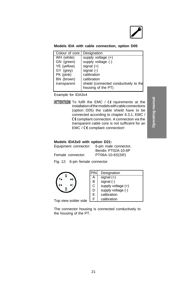#### **Models IDA with cable connection, option D05**

| Colour of core | Designation                           |
|----------------|---------------------------------------|
| WH (white)     | supply voltage $(+)$                  |
| GN (green)     | supply voltage (-)                    |
| YE (yellow)    | signal $(+)$                          |
| GY (grey)      | signal $(-)$                          |
| PK (pink)      | calibration                           |
| BN (brown)     | calibration                           |
| transparent    | shield (connected conductively to the |
|                | housing of the PT)                    |
|                |                                       |

Example for IDA3x4

**ATTENTION** To fulfil the EMC / CE rquirements at the installation of the models with cable connections (option D05) the cable shield have to be connected according to chapter 6.3.1, EMC /  $C \in \mathbb{C}$  compliant connection. A connection via the transparent cable core is not sufficient for an EMC / CE compliant connection!

#### **Models IDA3x0 with option D21:**

| Equipment connector: | 6-pin male connector. |
|----------------------|-----------------------|
|                      | Bendix PT02A-10-6P    |
| Female connector:    | PT06A-10-6S(SR)       |

Fig. 12: 6-pin female connector



| PIN | Designation          |
|-----|----------------------|
| А   | signal $(+)$         |
| B   | signal (-)           |
| С   | supply voltage $(+)$ |
| D   | supply voltage (-)   |
| E   | calibration          |
| F   | calibration          |

Top view solder side  $L^f$ 

The connector housing is connected conductively to the housing of the PT.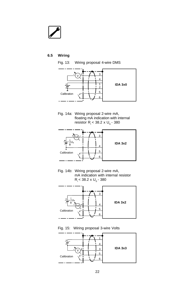#### **6.5 Wiring**



Fig. 14a: Wiring proposal 2-wire mA, floating mA indication with internal resistor  $R_i < 38.2 \times U_s - 380$ 



Fig. 14b: Wiring proposal 2-wire mA, mA indication with internal resistor  $R_i$  < 38.2 x U<sub>S</sub> - 380



Fig. 15: Wiring proposal 3-wire Volts

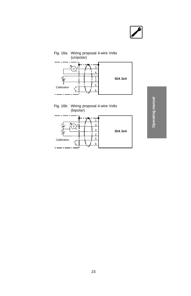





Operating manual **Operating manual**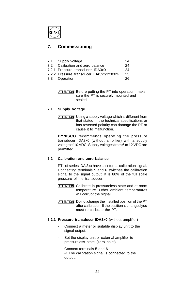# **7. Commissioning**

| 7.1 Supply voltage                       | 24 |
|------------------------------------------|----|
| 7.2 Calibration and zero balance         | 24 |
| 7.2.1 Pressure transducer IDA3x0         | 24 |
| 7.2.2 Pressure transducer IDA3x2/3x3/3x4 | 25 |

7.3 Operation 26

**ATTENTION** Before putting the PT into operation, make sure the PT is securely mounted and sealed.

#### **7.1 Supply voltage**

**ATTENTION** Using a supply voltage which is different from that stated in the technical specifications or has reversed polarity can damage the PT or cause it to malfunction.

**DYNISCO** recommends operating the pressure transducer IDA3x0 (without amplifier) with a supply voltage of 10 VDC. Supply voltages from 6 to 12 VDC are permitted.

#### **7.2 Calibration and zero balance**

PTs of series IDA 3xx have an internal calibration signal. Connecting terminals 5 and 6 switches the calibration signal to the signal output. It is 80% of the full scale pressure of the transducer.

- **ATTENTION** Calibrate in pressureless state and at room temperature. Other ambient temperatures will corrupt the signal.
- **ATTENTION** Do not change the installed position of the PT after calibration. If the position is changed you must re-calibrate the PT.

#### **7.2.1 Pressure transducer IDA3x0** (without amplifier)

- Connect a meter or suitable display unit to the signal output.
- Set the display unit or external amplifier to pressureless state (zero point).
- Connect terminals 5 and 6. ➪ The calibration signal is connected to the output.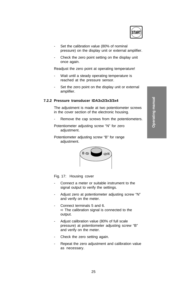

- Set the calibration value (80% of nominal pressure) on the display unit or external amplifier.
- Check the zero point setting on the display unit once again.

Readjust the zero point at operating temperature!

- Wait until a steady operating temperature is reached at the pressure sensor.
- Set the zero point on the display unit or external amplifier.

#### **7.2.2 Pressure transducer IDA3x2/3x3/3x4**

The adjustment is made at two potentiometer screws in the cover section of the electronic housing.

- Remove the cap screws from the potentiometers.
- Potentiometer adjusting screw "N" for zero adjustment.
- Potentiometer adjusting screw "B" for range adjustment.



Fig. 17: Housing cover

- Connect a meter or suitable instrument to the signal output to verify the settings.
- Adjust zero at potentiometer adjusting screw "N" and verify on the meter.
- Connect terminals 5 and 6. ➪ The calibration signal is connected to the output.
- Adjust calibration value (80% of full scale pressure) at potentiometer adjusting screw "B" and verify on the meter.
- Check the zero setting again.
- Repeat the zero adjustment and calibration value as necessary.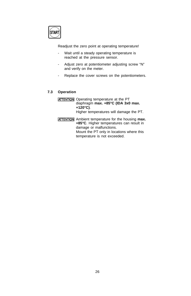Readjust the zero point at operating temperature!

- Wait until a steady operating temperature is reached at the pressure sensor.
- Adjust zero at potentiometer adjusting screw "N" and verify on the meter.
- Replace the cover screws on the potentiometers.

#### **7.3 Operation**

**ATTENTION** Operating temperature at the PT diaphragm **max. +85°C (IDA 3x0 max. +120°C)**. Higher temperatures will damage the PT.

**ATTENTION** Ambient temperature for the housing max. **+85°C**. Higher temperatures can result in damage or malfunctions. Mount the PT only in locations where this temperature is not exceeded.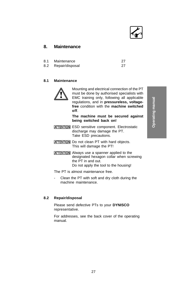

# **8. Maintenance**

- 8.1 Maintenance 27<br>8.2 Repair/disposal 27
- Repair/disposal

### **8.1 Maintenance**



Mounting and electrical connection of the PT must be done by authorised specialists with EMC training only, following all applicable regulations, and in **pressureless, voltagefree** condition with the **machine switched off**.

#### **The machine must be secured against being switched back on!**

- **ATTENTION** ESD sensitive component. Electrostatic discharge may damage the PT. Take ESD precautions.
- **ATTENTION** Do not clean PT with hard objects. This will damage the PT!
- **ATTENTION** Always use a spanner applied to the designated hexagon collar when screwing the PT in and out. Do not apply the tool to the housing!

The PT is almost maintenance free.

Clean the PT with soft and dry cloth during the machine maintenance.

#### **8.2 Repair/disposal**

Please send defective PTs to your **DYNISCO** representative.

For addresses, see the back cover of the operating manual.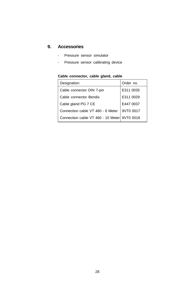# **9. Accessories**

- Pressure sensor simulator
- Pressure sensor calibrating device

| Designation                                  | Order no. |
|----------------------------------------------|-----------|
| Cable connector DIN 7-pin                    | E311 0035 |
| Cable connector Bendix                       | E311 0029 |
| Cable gland PG 7 CE                          | E447 0037 |
| Connection cable VT 460 - 6 Meter            | 9VT0 0017 |
| Connection cable VT 460 - 10 Meter 9VT0 0018 |           |

# **Cable connector, cable gland, cable**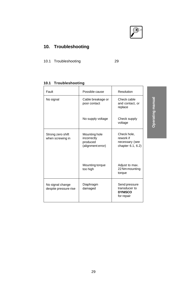

# **10. Troubleshooting**

10.1 Troubleshooting 29

# **10.1 Troubleshooting**

| Fault                                     | Possible cause                                                | Resolution                                                      |
|-------------------------------------------|---------------------------------------------------------------|-----------------------------------------------------------------|
| No signal                                 | Cable breakage or<br>poor contact                             | Check cable<br>and contact, or<br>replace                       |
|                                           | No supply voltage                                             | Check supply<br>voltage                                         |
| Strong zero shift<br>when screwing in     | Mounting hole<br>incorrectly<br>produced<br>(alignment error) | Check hole,<br>rework if<br>necessary (see<br>chapter 6.1, 6.2) |
|                                           | Mounting torque<br>too high                                   | Adjust to max.<br>22 Nm mounting<br>torque                      |
| No signal change<br>despite pressure rise | Diaphragm<br>damaged                                          | Send pressure<br>transducer to<br><b>DYNISCO</b><br>for repair  |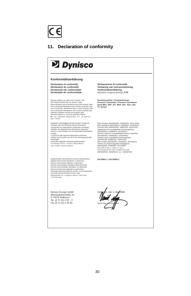

#### **11. Declaration of conformity**

# **D** Dynisco

#### **Konformitätserklärung**

**Declaration of conformity Déclaration de conformité Declaración de conformidad Declaração de conformidade**

Hiermit enkisten wir, daß unser Produkt, Typ:<br>
"We hereby declaren sha cur product, type:<br>
Nou s déclarons par la présente que notre produit, type:<br>
Por la presente declaramos que nuestro producto, tipo:<br>
Ocm a presente d

folgenden einschlägigen Bestimmungen entspricht:<br>complies with the following relevant provisions:<br>correspond aux dispositions pertinentes suivantes:<br>satisface las disposiciones pertinentes siguientes:<br>está em conformidade a saber:

è conforme alle seguenti disposizioni pertinenti: voldoet aan de eisen van de in het vervolg genoemde bepalingen: overholder følgende relevante bestemmelser:

ανταποκρίνεται στουσ ακόλουθουσ<br>σχετικούσ κανονισμούσ:

Angewendete harmonisierte Normen,insbesondere: Applied harmonized standards, in particular: Normes harmonisée utilisées, notamment: Normas armonizadas utilzadas particularmente: Normas harmonizadas utilizadas, em particular: Norme armonizzate applicate in particolare: Gebruikte geharmoniseerde normen, in het bijzondere: Anvendte harmoniserede normer, især: Eφαρμοσθέντα εναρμονισμένα πρότυπα ειδικότερα:

Dynisco Europe GmbH Wannenäckerstraße 24 D 74078 Heilbronn Tel. (0 71 31) 2 97 - 0 Fax (0 71 31) 2 32 60

**Dichiarazione di conformità Verklaring van overeenstemming Konformitetserklæring** Αήλωση συμμόρφωσησ ΕΟΚ

**Drucktransmitter / Druckaufnehmer Pressure Transmitter / Pressure Transducer Serie MDT, EMT, EIT, MDA, IDA, TDA, LDA, PT, Dyna4**

EMV-Richtline (89/336/EWG, 93/68/EWG, 93/44 EWG) EMC guidelines (89/336/EEC, 93/68/EEC, 93/44/EEC) Direcitve EMV (89/336/CEE, 93/68/CEE, 93/44/CEE) Reglamento de compatibilidad electromagnética (89/336/MCE, 93/68/MCE, 93/44/MCE) Directriz relativa à compatibilidade electro-magnética<br>(89/336/EWG, 93/68/EWG, 93/44/EWG)<br>Direttiva sulla compatibilità elettromagnetica<br>(89/336/CEE, 93/68/CEE, 93/46/CEE)<br>EMV-richtlijn (89/336/EEG, 93/68/EEG, 93/44/EEG) Direktiv om elektromagnetisk forligelighed<br>(89/336/EØE 93/68/EØE 93/44/EØE) (89/336/ΕØF, 93/68/ΕØF, 93/44/ΕØF)<br>κατευθυντήρια οδηγια περι<br>ηλεκτρομαγνητικήσ συμβατότητασ<br>(89/336/EWG, 93/68/EWG, και 93/44/EWG)

**EN 50081-1 / EN 50082-2**